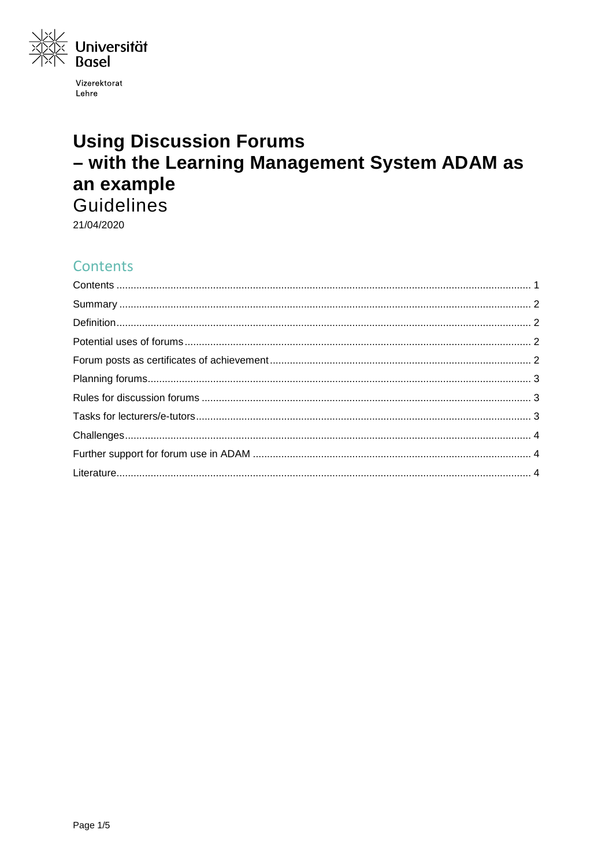

Vizerektorat Lehre

# **Using Discussion Forums** - with the Learning Management System ADAM as an example Guidelines

21/04/2020

## <span id="page-0-0"></span>Contents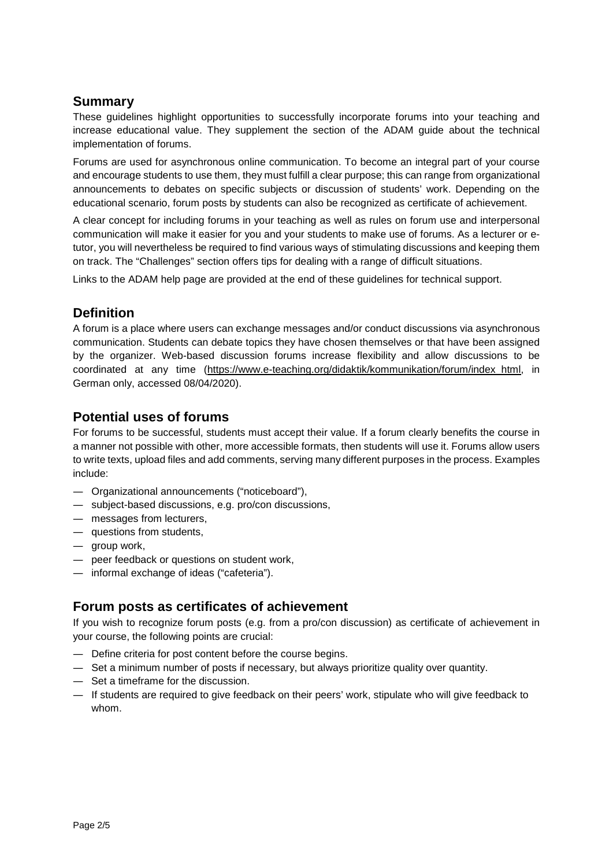## <span id="page-1-0"></span>**Summary**

These guidelines highlight opportunities to successfully incorporate forums into your teaching and increase educational value. They supplement the section of the ADAM guide about the technical implementation of forums.

Forums are used for asynchronous online communication. To become an integral part of your course and encourage students to use them, they must fulfill a clear purpose; this can range from organizational announcements to debates on specific subjects or discussion of students' work. Depending on the educational scenario, forum posts by students can also be recognized as certificate of achievement.

A clear concept for including forums in your teaching as well as rules on forum use and interpersonal communication will make it easier for you and your students to make use of forums. As a lecturer or etutor, you will nevertheless be required to find various ways of stimulating discussions and keeping them on track. The "Challenges" section offers tips for dealing with a range of difficult situations.

Links to the ADAM help page are provided at the end of these guidelines for technical support.

## <span id="page-1-1"></span>**Definition**

A forum is a place where users can exchange messages and/or conduct discussions via asynchronous communication. Students can debate topics they have chosen themselves or that have been assigned by the organizer. Web-based discussion forums increase flexibility and allow discussions to be coordinated at any time [\(https://www.e-teaching.org/didaktik/kommunikation/forum/index\\_html,](https://www.e-teaching.org/didaktik/kommunikation/forum/index_html) in German only, accessed 08/04/2020).

### <span id="page-1-2"></span>**Potential uses of forums**

For forums to be successful, students must accept their value. If a forum clearly benefits the course in a manner not possible with other, more accessible formats, then students will use it. Forums allow users to write texts, upload files and add comments, serving many different purposes in the process. Examples include:

- ― Organizational announcements ("noticeboard"),
- ― subject-based discussions, e.g. pro/con discussions,
- ― messages from lecturers,
- ― questions from students,
- ― group work,
- ― peer feedback or questions on student work,
- <span id="page-1-3"></span>― informal exchange of ideas ("cafeteria").

## **Forum posts as certificates of achievement**

If you wish to recognize forum posts (e.g. from a pro/con discussion) as certificate of achievement in your course, the following points are crucial:

- ― Define criteria for post content before the course begins.
- ― Set a minimum number of posts if necessary, but always prioritize quality over quantity.
- ― Set a timeframe for the discussion.
- ― If students are required to give feedback on their peers' work, stipulate who will give feedback to whom.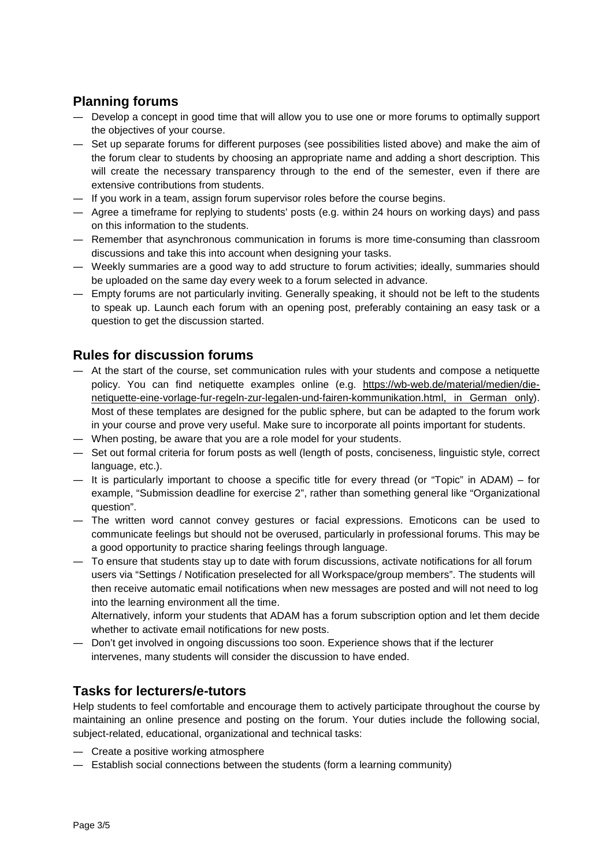## <span id="page-2-0"></span>**Planning forums**

- ― Develop a concept in good time that will allow you to use one or more forums to optimally support the objectives of your course.
- ― Set up separate forums for different purposes (see possibilities listed above) and make the aim of the forum clear to students by choosing an appropriate name and adding a short description. This will create the necessary transparency through to the end of the semester, even if there are extensive contributions from students.
- ― If you work in a team, assign forum supervisor roles before the course begins.
- ― Agree a timeframe for replying to students' posts (e.g. within 24 hours on working days) and pass on this information to the students.
- ― Remember that asynchronous communication in forums is more time-consuming than classroom discussions and take this into account when designing your tasks.
- ― Weekly summaries are a good way to add structure to forum activities; ideally, summaries should be uploaded on the same day every week to a forum selected in advance.
- ― Empty forums are not particularly inviting. Generally speaking, it should not be left to the students to speak up. Launch each forum with an opening post, preferably containing an easy task or a question to get the discussion started.

## <span id="page-2-1"></span>**Rules for discussion forums**

- ― At the start of the course, set communication rules with your students and compose a netiquette policy. You can find netiquette examples online (e.g. [https://wb-web.de/material/medien/die](https://wb-web.de/material/medien/die-netiquette-eine-vorlage-fur-regeln-zur-legalen-und-fairen-kommunikation.html)[netiquette-eine-vorlage-fur-regeln-zur-legalen-und-fairen-kommunikation.html,](https://wb-web.de/material/medien/die-netiquette-eine-vorlage-fur-regeln-zur-legalen-und-fairen-kommunikation.html) in German only). Most of these templates are designed for the public sphere, but can be adapted to the forum work in your course and prove very useful. Make sure to incorporate all points important for students.
- ― When posting, be aware that you are a role model for your students.
- ― Set out formal criteria for forum posts as well (length of posts, conciseness, linguistic style, correct language, etc.).
- ― It is particularly important to choose a specific title for every thread (or "Topic" in ADAM) for example, "Submission deadline for exercise 2", rather than something general like "Organizational question".
- ― The written word cannot convey gestures or facial expressions. Emoticons can be used to communicate feelings but should not be overused, particularly in professional forums. This may be a good opportunity to practice sharing feelings through language.
- ― To ensure that students stay up to date with forum discussions, activate notifications for all forum users via "Settings / Notification preselected for all Workspace/group members". The students will then receive automatic email notifications when new messages are posted and will not need to log into the learning environment all the time.

Alternatively, inform your students that ADAM has a forum subscription option and let them decide whether to activate email notifications for new posts.

― Don't get involved in ongoing discussions too soon. Experience shows that if the lecturer intervenes, many students will consider the discussion to have ended.

## <span id="page-2-2"></span>**Tasks for lecturers/e-tutors**

Help students to feel comfortable and encourage them to actively participate throughout the course by maintaining an online presence and posting on the forum. Your duties include the following social, subject-related, educational, organizational and technical tasks:

- ― Create a positive working atmosphere
- ― Establish social connections between the students (form a learning community)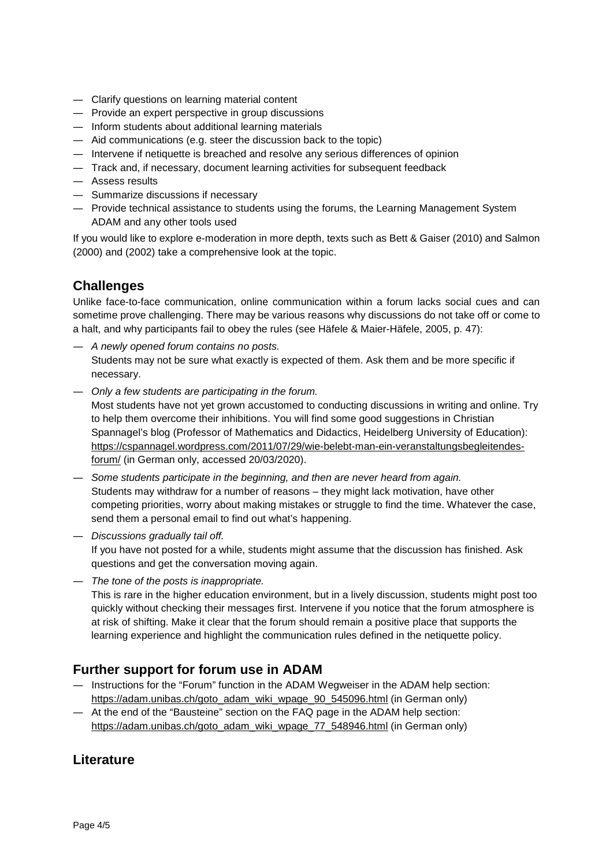- ― Clarify questions on learning material content
- ― Provide an expert perspective in group discussions
- ― Inform students about additional learning materials
- ― Aid communications (e.g. steer the discussion back to the topic)
- ― Intervene if netiquette is breached and resolve any serious differences of opinion
- ― Track and, if necessary, document learning activities for subsequent feedback
- ― Assess results
- ― Summarize discussions if necessary
- ― Provide technical assistance to students using the forums, the Learning Management System ADAM and any other tools used

If you would like to explore e-moderation in more depth, texts such as Bett & Gaiser (2010) and Salmon (2000) and (2002) take a comprehensive look at the topic.

## <span id="page-3-0"></span>**Challenges**

Unlike face-to-face communication, online communication within a forum lacks social cues and can sometime prove challenging. There may be various reasons why discussions do not take off or come to a halt, and why participants fail to obey the rules (see Häfele & Maier-Häfele, 2005, p. 47):

- ― *A newly opened forum contains no posts.* Students may not be sure what exactly is expected of them. Ask them and be more specific if necessary.
- ― *Only a few students are participating in the forum.* Most students have not yet grown accustomed to conducting discussions in writing and online. Try to help them overcome their inhibitions. You will find some good suggestions in Christian Spannagel's blog (Professor of Mathematics and Didactics, Heidelberg University of Education): [https://cspannagel.wordpress.com/2011/07/29/wie-belebt-man-ein-veranstaltungsbegleitendes](https://cspannagel.wordpress.com/2011/07/29/wie-belebt-man-ein-veranstaltungsbegleitendes-forum/)[forum/](https://cspannagel.wordpress.com/2011/07/29/wie-belebt-man-ein-veranstaltungsbegleitendes-forum/) (in German only, accessed 20/03/2020).
- ― *Some students participate in the beginning, and then are never heard from again.* Students may withdraw for a number of reasons – they might lack motivation, have other competing priorities, worry about making mistakes or struggle to find the time. Whatever the case, send them a personal email to find out what's happening.
- ― *Discussions gradually tail off.* If you have not posted for a while, students might assume that the discussion has finished. Ask questions and get the conversation moving again.
- ― *The tone of the posts is inappropriate.* This is rare in the higher education environment, but in a lively discussion, students might post too quickly without checking their messages first. Intervene if you notice that the forum atmosphere is at risk of shifting. Make it clear that the forum should remain a positive place that supports the learning experience and highlight the communication rules defined in the netiquette policy.

## <span id="page-3-1"></span>**Further support for forum use in ADAM**

- ― Instructions for the "Forum" function in the ADAM Wegweiser in the ADAM help section: [https://adam.unibas.ch/goto\\_adam\\_wiki\\_wpage\\_90\\_545096.html](https://adam.unibas.ch/goto_adam_wiki_wpage_90_545096.html) (in German only)
- ― At the end of the "Bausteine" section on the FAQ page in the ADAM help section: [https://adam.unibas.ch/goto\\_adam\\_wiki\\_wpage\\_77\\_548946.html](https://adam.unibas.ch/goto_adam_wiki_wpage_77_548946.html) (in German only)

#### <span id="page-3-2"></span>**Literature**